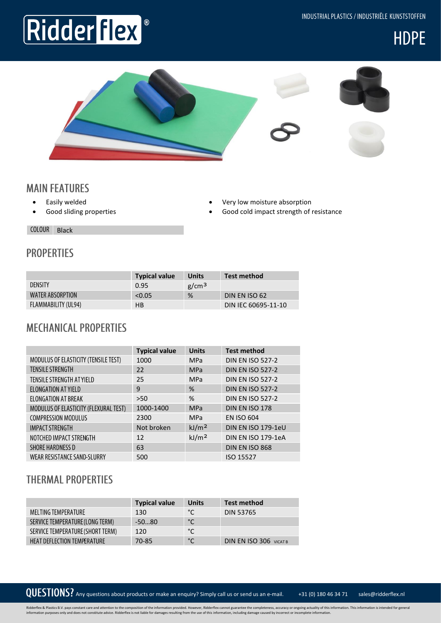INDUSTRIAL PLASTICS / INDUSTRIËLE KUNSTSTOFFEN

## Ridder flex





#### **MAIN FEATURES**

- Easily welded
- Good sliding properties
- Very low moisture absorption
- Good cold impact strength of resistance

COLOUR Black

### **PROPERTIES**

|                         | <b>Typical value</b> | <b>Units</b>      | Test method         |
|-------------------------|----------------------|-------------------|---------------------|
| <b>DENSITY</b>          | 0.95                 | g/cm <sup>3</sup> |                     |
| <b>WATER ABSORPTION</b> | < 0.05               | %                 | DIN EN ISO 62       |
| FLAMMABILITY (UL94)     | HB                   |                   | DIN IEC 60695-11-10 |

#### **MECHANICAL PROPERTIES**

|                                       | <b>Typical value</b> | <b>Units</b>      | <b>Test method</b>      |
|---------------------------------------|----------------------|-------------------|-------------------------|
| MODULUS OF ELASTICITY (TENSILE TEST)  | 1000                 | <b>MPa</b>        | <b>DIN EN ISO 527-2</b> |
| <b>TENSILE STRENGTH</b>               | 22                   | <b>MPa</b>        | <b>DIN EN ISO 527-2</b> |
| TENSILE STRENGTH AT YIELD             | 25                   | <b>MPa</b>        | <b>DIN EN ISO 527-2</b> |
| ELONGATION AT YIELD                   | 9                    | %                 | <b>DIN EN ISO 527-2</b> |
| <b>ELONGATION AT BREAK</b>            | >50                  | %                 | <b>DIN EN ISO 527-2</b> |
| MODULUS OF ELASTICITY (FLEXURAL TEST) | 1000-1400            | <b>MPa</b>        | DIN EN ISO 178          |
| <b>COMPRESSION MODULUS</b>            | 2300                 | <b>MPa</b>        | <b>EN ISO 604</b>       |
| <b>IMPACT STRENGTH</b>                | Not broken           | kJ/m <sup>2</sup> | DIN EN ISO 179-1eU      |
| NOTCHED IMPACT STRENGTH               | 12                   | kJ/m <sup>2</sup> | DIN EN ISO 179-1eA      |
| <b>SHORE HARDNESS D</b>               | 63                   |                   | DIN EN ISO 868          |
| <b>WEAR RESISTANCE SAND-SLURRY</b>    | 500                  |                   | ISO 15527               |

#### **THERMAL PROPERTIES**

|                                    | <b>Typical value</b> | <b>Units</b> | <b>Test method</b>            |
|------------------------------------|----------------------|--------------|-------------------------------|
| MELTING TEMPERATURE                | 130                  | $^{\circ}$ C | <b>DIN 53765</b>              |
| SERVICE TEMPERATURE (LONG TERM)    | $-5080$              | $^{\circ}$ C |                               |
| SERVICE TEMPERATURE (SHORT TERM)   | 120                  | °C           |                               |
| <b>HEAT DEFLECTION TEMPERATURE</b> | 70-85                | $^{\circ}$ C | <b>DIN EN ISO 306 VICAT B</b> |

QUESTIONS? Any questions about products or make an enquiry? Simply call us or send us an e-mail. +31 (0) 180 46 34 71 sales@ridderflex.nl